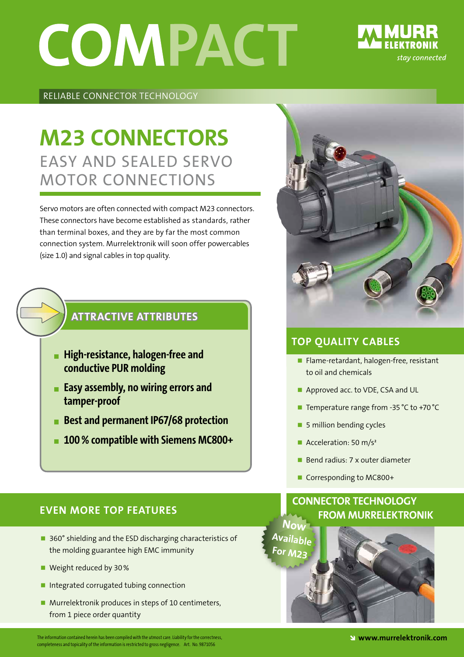# **COMPACT**

## stay connected

#### Reliable Connector Technology

### Easy and Sealed Servo Motor Connections **M23 Connectors**

Servo motors are often connected with compact M23 connectors. These connectors have become established as standards, rather than terminal boxes, and they are by far the most common connection system. Murrelektronik will soon offer powercables (size 1.0) and signal cables in top quality.

#### **Attractive Attributes**

- **High-resistance, halogen-free and conductive PUR molding**
- **Easy assembly, no wiring errors and tamper-proof**
- **Best and permanent IP67/68 protection**
- **100% compatible with Siemens MC800+**



#### **Top Quality Cables**

- Flame-retardant, halogen-free, resistant to oil and chemicals
- Approved acc. to VDE, CSA and UL
- Temperature range from -35 °C to +70 °C
- **5** million bending cycles
- Acceleration: 50  $m/s<sup>2</sup>$
- Bend radius: 7 x outer diameter
- Corresponding to MC800+

#### **Connector Technology from Murrelektronik**



#### **EVEN MORE TOP FEATURES**

- 360° shielding and the ESD discharging characteristics of the molding guarantee high EMC immunity
- Weight reduced by 30%
- Integrated corrugated tubing connection
- Murrelektronik produces in steps of 10 centimeters, from 1 piece order quantity

The information contained herein has been compiled with the utmost care. Liability for the correctness,  $\mathbf w$  and  $\mathbf w$  and  $\mathbf w$  and  $\mathbf w$  and  $\mathbf w$  and  $\mathbf w$  and  $\mathbf w$  and  $\mathbf w$  and  $\mathbf w$  are  $\mathbf w$  and  $\mathbf w$  completeness and topicality of the information is restricted to gross negligence. completeness and topicality of the information is restricted to gross negligence. Art. No. 9871056